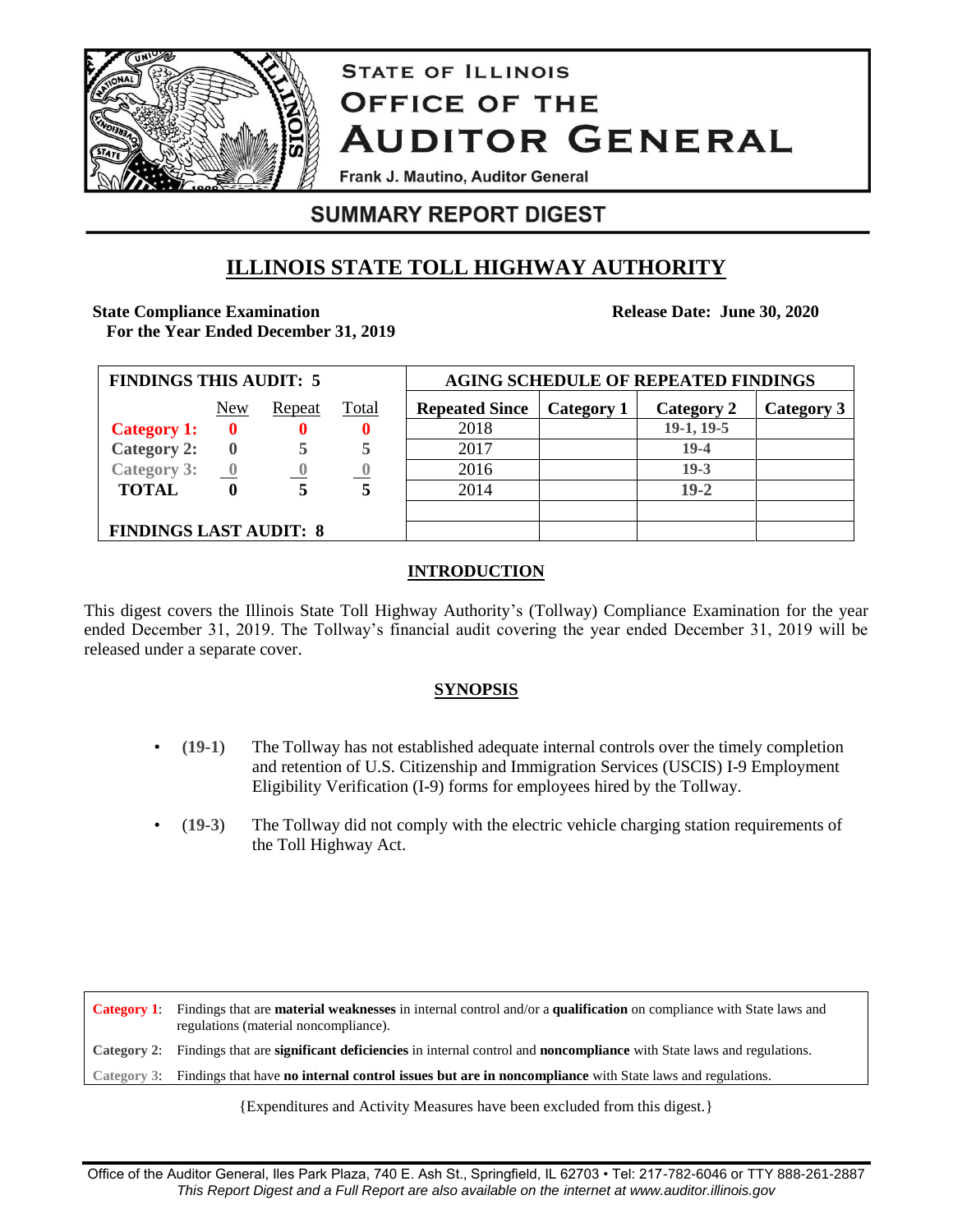

# **STATE OF ILLINOIS OFFICE OF THE AUDITOR GENERAL**

Frank J. Mautino, Auditor General

# **SUMMARY REPORT DIGEST**

# **ILLINOIS STATE TOLL HIGHWAY AUTHORITY**

## **State Compliance Examination**

**Release Date: June 30, 2020**

**For the Year Ended December 31, 2019**

| <b>FINDINGS THIS AUDIT: 5</b> |                         |        |              | <b>AGING SCHEDULE OF REPEATED FINDINGS</b> |            |            |            |
|-------------------------------|-------------------------|--------|--------------|--------------------------------------------|------------|------------|------------|
|                               | New                     | Repeat | <u>Total</u> | <b>Repeated Since</b>                      | Category 1 | Category 2 | Category 3 |
| <b>Category 1:</b>            | $\mathbf{0}$            |        | 0            | 2018                                       |            | 19-1, 19-5 |            |
| <b>Category 2:</b>            | $\mathbf{0}$            |        | 5            | 2017                                       |            | $19-4$     |            |
| <b>Category 3:</b>            | $\overline{\mathbf{0}}$ | -0     |              | 2016                                       |            | $19-3$     |            |
| <b>TOTAL</b>                  | 0                       | 5      | 5            | 2014                                       |            | $19-2$     |            |
|                               |                         |        |              |                                            |            |            |            |
| <b>FINDINGS LAST AUDIT: 8</b> |                         |        |              |                                            |            |            |            |

### **INTRODUCTION**

This digest covers the Illinois State Toll Highway Authority's (Tollway) Compliance Examination for the year ended December 31, 2019. The Tollway's financial audit covering the year ended December 31, 2019 will be released under a separate cover.

### **SYNOPSIS**

- **(19-1**) The Tollway has not established adequate internal controls over the timely completion and retention of U.S. Citizenship and Immigration Services (USCIS) I-9 Employment Eligibility Verification (I-9) forms for employees hired by the Tollway.
- (**19-3**) The Tollway did not comply with the electric vehicle charging station requirements of the Toll Highway Act.

**Category 1**: Findings that are **material weaknesses** in internal control and/or a **qualification** on compliance with State laws and regulations (material noncompliance). **Category 2**: Findings that are **significant deficiencies** in internal control and **noncompliance** with State laws and regulations. **Category 3**: Findings that have **no internal control issues but are in noncompliance** with State laws and regulations.

{Expenditures and Activity Measures have been excluded from this digest.}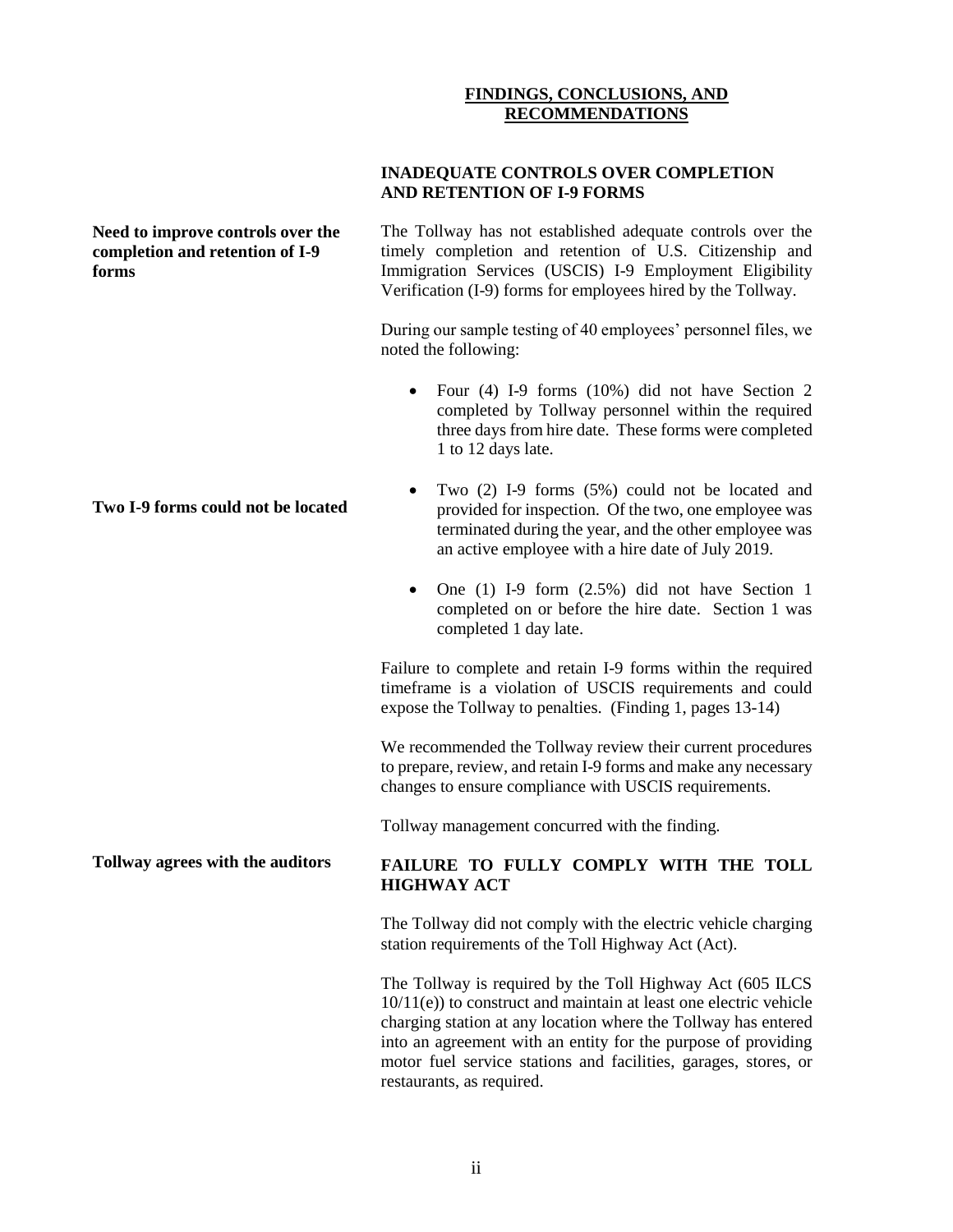#### **FINDINGS, CONCLUSIONS, AND RECOMMENDATIONS**

#### **INADEQUATE CONTROLS OVER COMPLETION AND RETENTION OF I-9 FORMS**

**Need to improve controls over the completion and retention of I-9 forms**

The Tollway has not established adequate controls over the timely completion and retention of U.S. Citizenship and Immigration Services (USCIS) I-9 Employment Eligibility Verification (I-9) forms for employees hired by the Tollway.

During our sample testing of 40 employees' personnel files, we noted the following:

- Four (4) I-9 forms (10%) did not have Section 2 completed by Tollway personnel within the required three days from hire date. These forms were completed 1 to 12 days late.
- Two (2) I-9 forms (5%) could not be located and provided for inspection. Of the two, one employee was terminated during the year, and the other employee was an active employee with a hire date of July 2019.
- $\bullet$  One (1) I-9 form (2.5%) did not have Section 1 completed on or before the hire date. Section 1 was completed 1 day late.

Failure to complete and retain I-9 forms within the required timeframe is a violation of USCIS requirements and could expose the Tollway to penalties. (Finding 1, pages 13-14)

We recommended the Tollway review their current procedures to prepare, review, and retain I-9 forms and make any necessary changes to ensure compliance with USCIS requirements.

Tollway management concurred with the finding.

#### **FAILURE TO FULLY COMPLY WITH THE TOLL HIGHWAY ACT**

The Tollway did not comply with the electric vehicle charging station requirements of the Toll Highway Act (Act).

The Tollway is required by the Toll Highway Act (605 ILCS 10/11(e)) to construct and maintain at least one electric vehicle charging station at any location where the Tollway has entered into an agreement with an entity for the purpose of providing motor fuel service stations and facilities, garages, stores, or restaurants, as required.

#### **Two I-9 forms could not be located**

**Tollway agrees with the auditors**